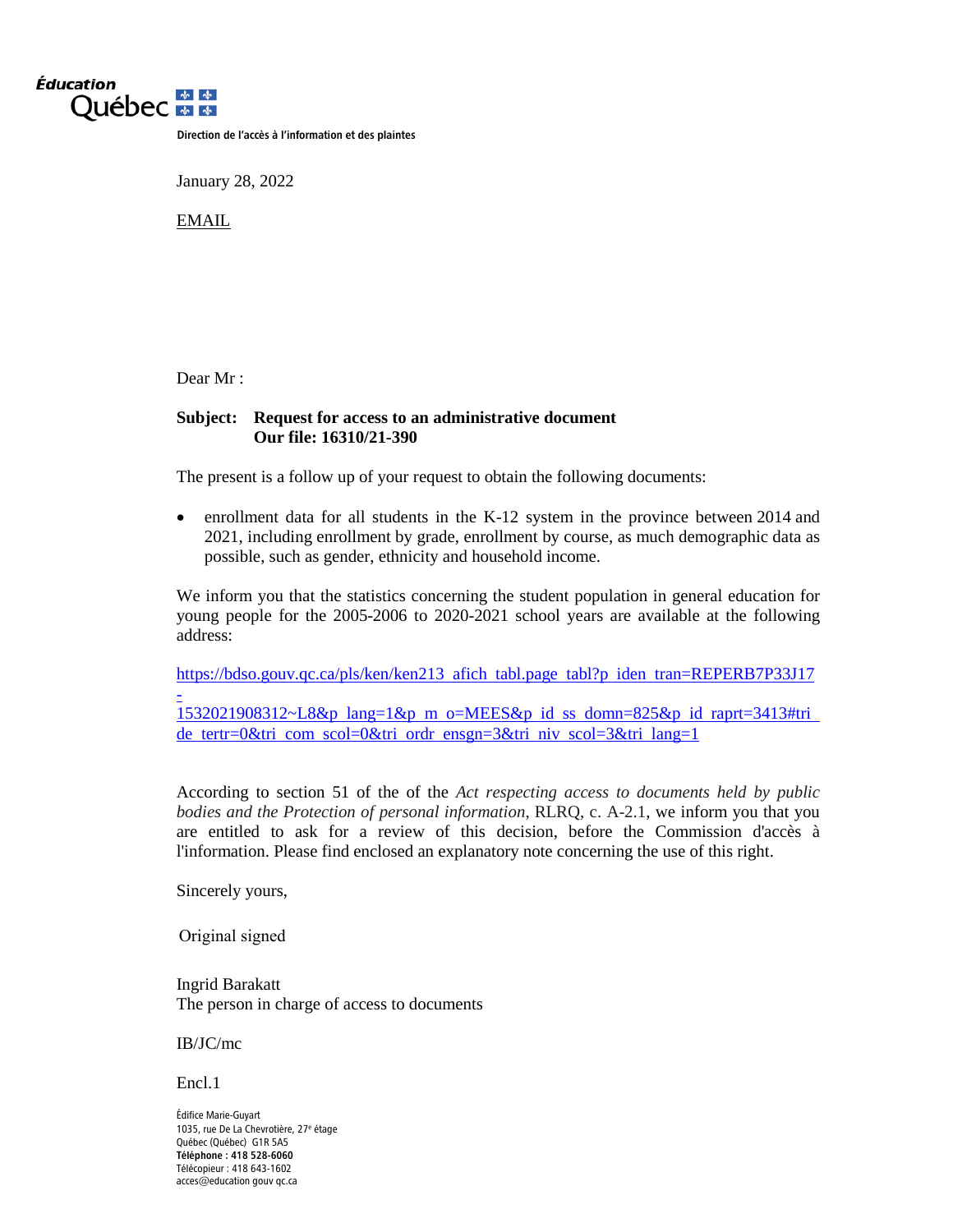

Direction de l'accès à l'information et des plaintes

January 28, 2022

EMAIL

Dear Mr :

### **Subject: Request for access to an administrative document Our file: 16310/21-390**

The present is a follow up of your request to obtain the following documents:

• enrollment data for all students in the K-12 system in the province between 2014 and 2021, including enrollment by grade, enrollment by course, as much demographic data as possible, such as gender, ethnicity and household income.

We inform you that the statistics concerning the student population in general education for young people for the 2005-2006 to 2020-2021 school years are available at the following address:

[https://bdso.gouv.qc.ca/pls/ken/ken213 afich tabl.page tabl?p iden tran=REPERB7P33J17](https://bdso.gouv.qc.ca/pls/ken/ken213_afich_tabl.page_tabl?p_iden_tran=REPERB7P33J17-1532021908312%7EL8&p_lang=1&p_m_o=MEES&p_id_ss_domn=825&p_id_raprt=3413#tri_de_tertr=0&tri_com_scol=0&tri_ordr_ensgn=3&tri_niv_scol=3&tri_lang=1) [-](https://bdso.gouv.qc.ca/pls/ken/ken213_afich_tabl.page_tabl?p_iden_tran=REPERB7P33J17-1532021908312%7EL8&p_lang=1&p_m_o=MEES&p_id_ss_domn=825&p_id_raprt=3413#tri_de_tertr=0&tri_com_scol=0&tri_ordr_ensgn=3&tri_niv_scol=3&tri_lang=1) [1532021908312~L8&p lang=1&p m o=MEES&p id ss domn=825&p id raprt=3413#tri](https://bdso.gouv.qc.ca/pls/ken/ken213_afich_tabl.page_tabl?p_iden_tran=REPERB7P33J17-1532021908312%7EL8&p_lang=1&p_m_o=MEES&p_id_ss_domn=825&p_id_raprt=3413#tri_de_tertr=0&tri_com_scol=0&tri_ordr_ensgn=3&tri_niv_scol=3&tri_lang=1) [de tertr=0&tri com scol=0&tri ordr ensgn=3&tri niv scol=3&tri lang=1](https://bdso.gouv.qc.ca/pls/ken/ken213_afich_tabl.page_tabl?p_iden_tran=REPERB7P33J17-1532021908312%7EL8&p_lang=1&p_m_o=MEES&p_id_ss_domn=825&p_id_raprt=3413#tri_de_tertr=0&tri_com_scol=0&tri_ordr_ensgn=3&tri_niv_scol=3&tri_lang=1)

According to section 51 of the of the *Act respecting access to documents held by public bodies and the Protection of personal information*, RLRQ, c. A-2.1, we inform you that you are entitled to ask for a review of this decision, before the Commission d'accès à l'information. Please find enclosed an explanatory note concerning the use of this right.

Sincerely yours,

Original signed

Ingrid Barakatt The person in charge of access to documents

IB/JC/mc

Encl.1

Édifice Marie-Guyart 1035, rue De La Chevrotière, 27e étage Québec (Québec) G1R 5A5 Téléphone : 418 528-6060 Télécopieur : 418 643-1602 acces@education gouv qc.ca